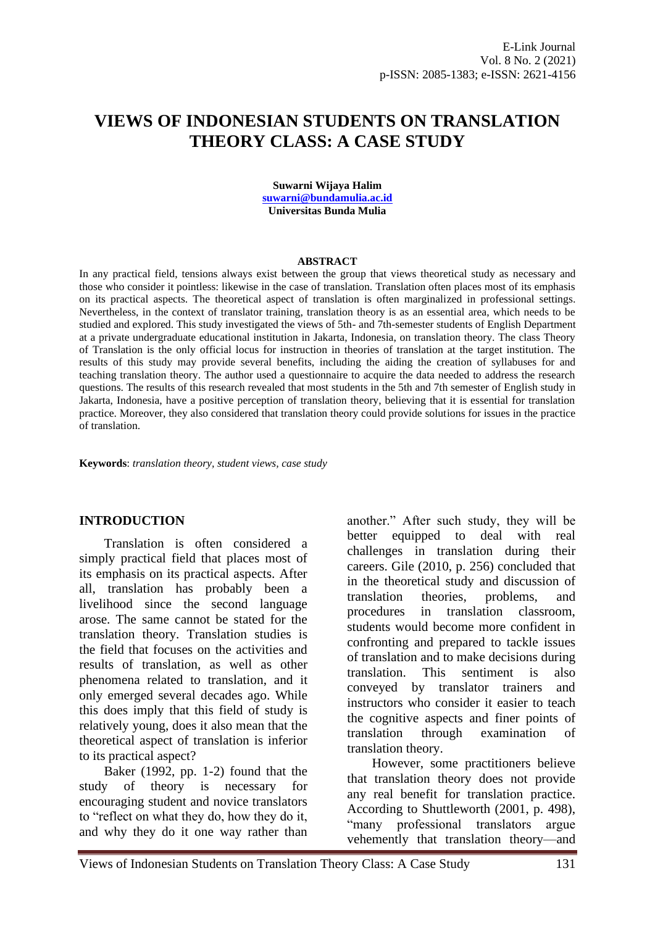# **VIEWS OF INDONESIAN STUDENTS ON TRANSLATION THEORY CLASS: A CASE STUDY**

**Suwarni Wijaya Halim [suwarni@bundamulia.ac.id](mailto:suwarni@bundamulia.ac.id) Universitas Bunda Mulia**

#### **ABSTRACT**

In any practical field, tensions always exist between the group that views theoretical study as necessary and those who consider it pointless: likewise in the case of translation. Translation often places most of its emphasis on its practical aspects. The theoretical aspect of translation is often marginalized in professional settings. Nevertheless, in the context of translator training, translation theory is as an essential area, which needs to be studied and explored. This study investigated the views of 5th- and 7th-semester students of English Department at a private undergraduate educational institution in Jakarta, Indonesia, on translation theory. The class Theory of Translation is the only official locus for instruction in theories of translation at the target institution. The results of this study may provide several benefits, including the aiding the creation of syllabuses for and teaching translation theory. The author used a questionnaire to acquire the data needed to address the research questions. The results of this research revealed that most students in the 5th and 7th semester of English study in Jakarta, Indonesia, have a positive perception of translation theory, believing that it is essential for translation practice. Moreover, they also considered that translation theory could provide solutions for issues in the practice of translation.

**Keywords**: *translation theory, student views, case study*

#### **INTRODUCTION**

Translation is often considered a simply practical field that places most of its emphasis on its practical aspects. After all, translation has probably been a livelihood since the second language arose. The same cannot be stated for the translation theory. Translation studies is the field that focuses on the activities and results of translation, as well as other phenomena related to translation, and it only emerged several decades ago. While this does imply that this field of study is relatively young, does it also mean that the theoretical aspect of translation is inferior to its practical aspect?

Baker (1992, pp. 1-2) found that the study of theory is necessary for encouraging student and novice translators to "reflect on what they do, how they do it, and why they do it one way rather than another." After such study, they will be better equipped to deal with real challenges in translation during their careers. Gile (2010, p. 256) concluded that in the theoretical study and discussion of translation theories, problems, and procedures in translation classroom, students would become more confident in confronting and prepared to tackle issues of translation and to make decisions during translation. This sentiment is also conveyed by translator trainers and instructors who consider it easier to teach the cognitive aspects and finer points of translation through examination of translation theory.

However, some practitioners believe that translation theory does not provide any real benefit for translation practice. According to Shuttleworth (2001, p. 498), "many professional translators argue vehemently that translation theory—and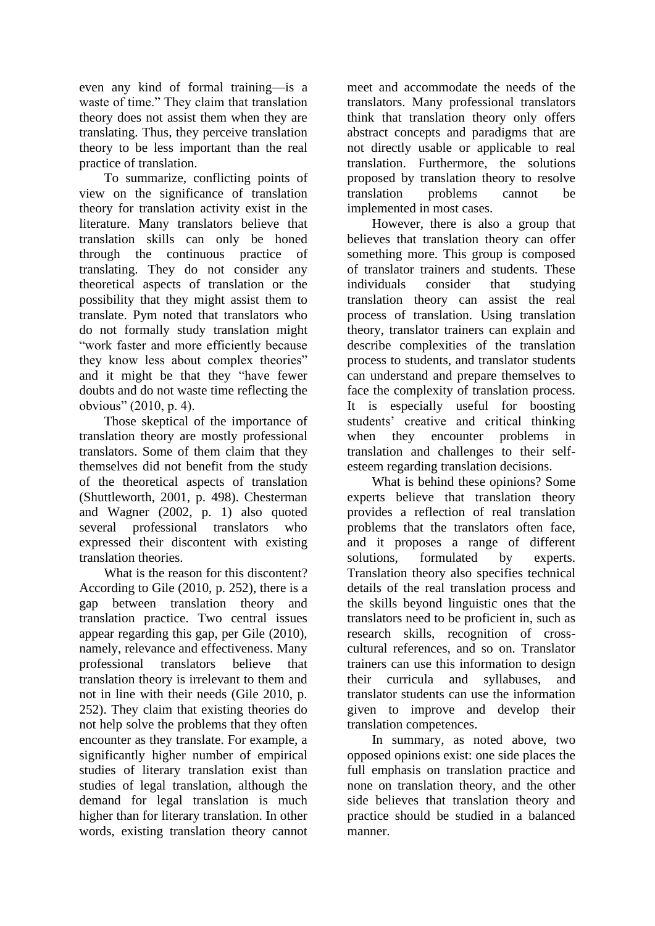even any kind of formal training—is a waste of time." They claim that translation theory does not assist them when they are translating. Thus, they perceive translation theory to be less important than the real practice of translation.

To summarize, conflicting points of view on the significance of translation theory for translation activity exist in the literature. Many translators believe that translation skills can only be honed through the continuous practice of translating. They do not consider any theoretical aspects of translation or the possibility that they might assist them to translate. Pym noted that translators who do not formally study translation might "work faster and more efficiently because they know less about complex theories" and it might be that they "have fewer doubts and do not waste time reflecting the obvious" (2010, p. 4).

Those skeptical of the importance of translation theory are mostly professional translators. Some of them claim that they themselves did not benefit from the study of the theoretical aspects of translation (Shuttleworth, 2001, p. 498). Chesterman and Wagner (2002, p. 1) also quoted several professional translators who expressed their discontent with existing translation theories.

What is the reason for this discontent? According to Gile (2010, p. 252), there is a gap between translation theory and translation practice. Two central issues appear regarding this gap, per Gile (2010), namely, relevance and effectiveness. Many professional translators believe that translation theory is irrelevant to them and not in line with their needs (Gile 2010, p. 252). They claim that existing theories do not help solve the problems that they often encounter as they translate. For example, a significantly higher number of empirical studies of literary translation exist than studies of legal translation, although the demand for legal translation is much higher than for literary translation. In other words, existing translation theory cannot meet and accommodate the needs of the translators. Many professional translators think that translation theory only offers abstract concepts and paradigms that are not directly usable or applicable to real translation. Furthermore, the solutions proposed by translation theory to resolve translation problems cannot be implemented in most cases.

However, there is also a group that believes that translation theory can offer something more. This group is composed of translator trainers and students. These individuals consider that studying translation theory can assist the real process of translation. Using translation theory, translator trainers can explain and describe complexities of the translation process to students, and translator students can understand and prepare themselves to face the complexity of translation process. It is especially useful for boosting students' creative and critical thinking when they encounter problems in translation and challenges to their selfesteem regarding translation decisions.

What is behind these opinions? Some experts believe that translation theory provides a reflection of real translation problems that the translators often face, and it proposes a range of different solutions, formulated by experts. Translation theory also specifies technical details of the real translation process and the skills beyond linguistic ones that the translators need to be proficient in, such as research skills, recognition of crosscultural references, and so on. Translator trainers can use this information to design their curricula and syllabuses, and translator students can use the information given to improve and develop their translation competences.

In summary, as noted above, two opposed opinions exist: one side places the full emphasis on translation practice and none on translation theory, and the other side believes that translation theory and practice should be studied in a balanced manner.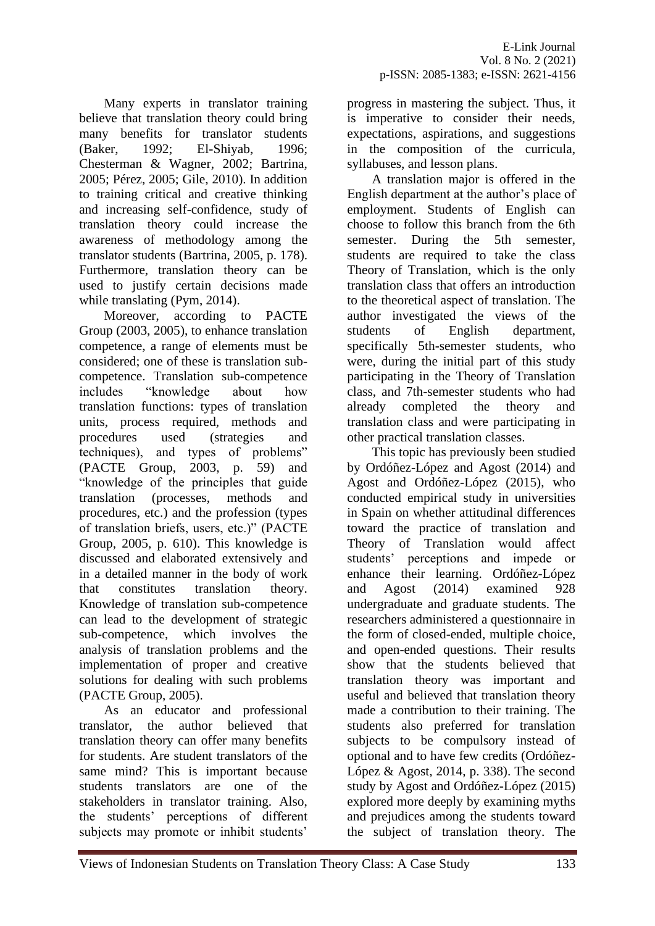Many experts in translator training believe that translation theory could bring many benefits for translator students (Baker, 1992; El-Shiyab, 1996; Chesterman & Wagner, 2002; Bartrina, 2005; Pérez, 2005; Gile, 2010). In addition to training critical and creative thinking and increasing self-confidence, study of translation theory could increase the awareness of methodology among the translator students (Bartrina, 2005, p. 178). Furthermore, translation theory can be used to justify certain decisions made while translating (Pym, 2014).

Moreover, according to PACTE Group (2003, 2005), to enhance translation competence, a range of elements must be considered; one of these is translation subcompetence. Translation sub-competence includes "knowledge about how translation functions: types of translation units, process required, methods and procedures used (strategies and techniques), and types of problems" (PACTE Group, 2003, p. 59) and "knowledge of the principles that guide translation (processes, methods and procedures, etc.) and the profession (types of translation briefs, users, etc.)" (PACTE Group, 2005, p. 610). This knowledge is discussed and elaborated extensively and in a detailed manner in the body of work that constitutes translation theory. Knowledge of translation sub-competence can lead to the development of strategic sub-competence, which involves the analysis of translation problems and the implementation of proper and creative solutions for dealing with such problems (PACTE Group, 2005).

As an educator and professional translator, the author believed that translation theory can offer many benefits for students. Are student translators of the same mind? This is important because students translators are one of the stakeholders in translator training. Also, the students' perceptions of different subjects may promote or inhibit students'

progress in mastering the subject. Thus, it is imperative to consider their needs, expectations, aspirations, and suggestions in the composition of the curricula, syllabuses, and lesson plans.

A translation major is offered in the English department at the author's place of employment. Students of English can choose to follow this branch from the 6th semester. During the 5th semester, students are required to take the class Theory of Translation, which is the only translation class that offers an introduction to the theoretical aspect of translation. The author investigated the views of the students of English department, specifically 5th-semester students, who were, during the initial part of this study participating in the Theory of Translation class, and 7th-semester students who had already completed the theory and translation class and were participating in other practical translation classes.

This topic has previously been studied by Ordóñez-López and Agost (2014) and Agost and Ordóñez-López (2015), who conducted empirical study in universities in Spain on whether attitudinal differences toward the practice of translation and Theory of Translation would affect students' perceptions and impede or enhance their learning. Ordóñez-López and Agost (2014) examined 928 undergraduate and graduate students. The researchers administered a questionnaire in the form of closed-ended, multiple choice, and open-ended questions. Their results show that the students believed that translation theory was important and useful and believed that translation theory made a contribution to their training. The students also preferred for translation subjects to be compulsory instead of optional and to have few credits (Ordóñez-López & Agost, 2014, p. 338). The second study by Agost and Ordóñez-López (2015) explored more deeply by examining myths and prejudices among the students toward the subject of translation theory. The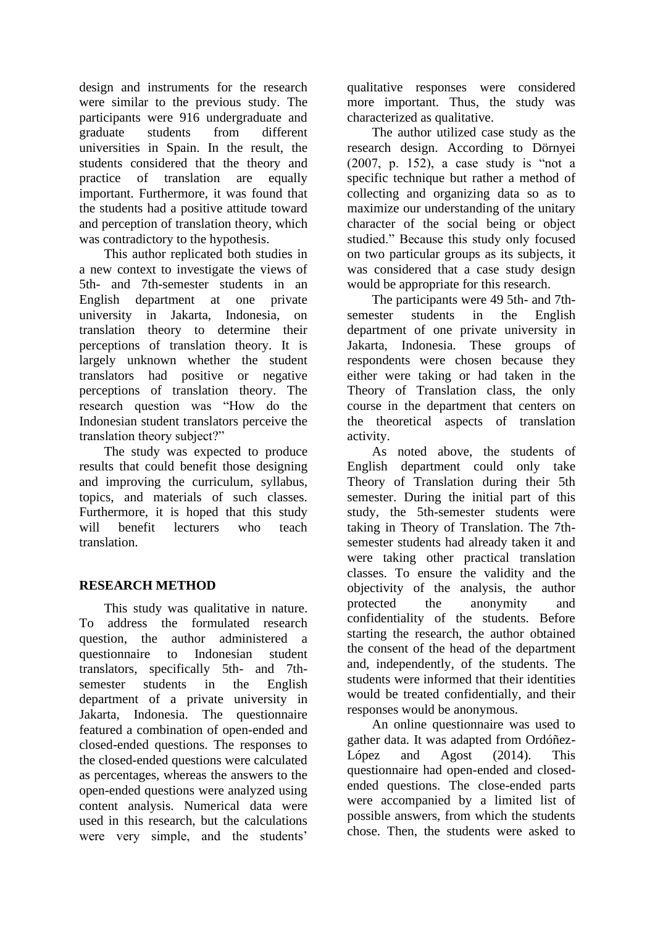design and instruments for the research were similar to the previous study. The participants were 916 undergraduate and graduate students from different universities in Spain. In the result, the students considered that the theory and practice of translation are equally important. Furthermore, it was found that the students had a positive attitude toward and perception of translation theory, which was contradictory to the hypothesis.

This author replicated both studies in a new context to investigate the views of 5th- and 7th-semester students in an English department at one private university in Jakarta, Indonesia, on translation theory to determine their perceptions of translation theory. It is largely unknown whether the student translators had positive or negative perceptions of translation theory. The research question was "How do the Indonesian student translators perceive the translation theory subject?"

The study was expected to produce results that could benefit those designing and improving the curriculum, syllabus, topics, and materials of such classes. Furthermore, it is hoped that this study will benefit lecturers who teach translation.

# **RESEARCH METHOD**

This study was qualitative in nature. To address the formulated research question, the author administered a questionnaire to Indonesian student translators, specifically 5th- and 7thsemester students in the English department of a private university in Jakarta, Indonesia. The questionnaire featured a combination of open-ended and closed-ended questions. The responses to the closed-ended questions were calculated as percentages, whereas the answers to the open-ended questions were analyzed using content analysis. Numerical data were used in this research, but the calculations were very simple, and the students'

qualitative responses were considered more important. Thus, the study was characterized as qualitative.

The author utilized case study as the research design. According to Dörnyei (2007, p. 152), a case study is "not a specific technique but rather a method of collecting and organizing data so as to maximize our understanding of the unitary character of the social being or object studied." Because this study only focused on two particular groups as its subjects, it was considered that a case study design would be appropriate for this research.

The participants were 49 5th- and 7thsemester students in the English department of one private university in Jakarta, Indonesia. These groups of respondents were chosen because they either were taking or had taken in the Theory of Translation class, the only course in the department that centers on the theoretical aspects of translation activity.

As noted above, the students of English department could only take Theory of Translation during their 5th semester. During the initial part of this study, the 5th-semester students were taking in Theory of Translation. The 7thsemester students had already taken it and were taking other practical translation classes. To ensure the validity and the objectivity of the analysis, the author protected the anonymity and confidentiality of the students. Before starting the research, the author obtained the consent of the head of the department and, independently, of the students. The students were informed that their identities would be treated confidentially, and their responses would be anonymous.

An online questionnaire was used to gather data. It was adapted from Ordóñez-López and Agost (2014). This questionnaire had open-ended and closedended questions. The close-ended parts were accompanied by a limited list of possible answers, from which the students chose. Then, the students were asked to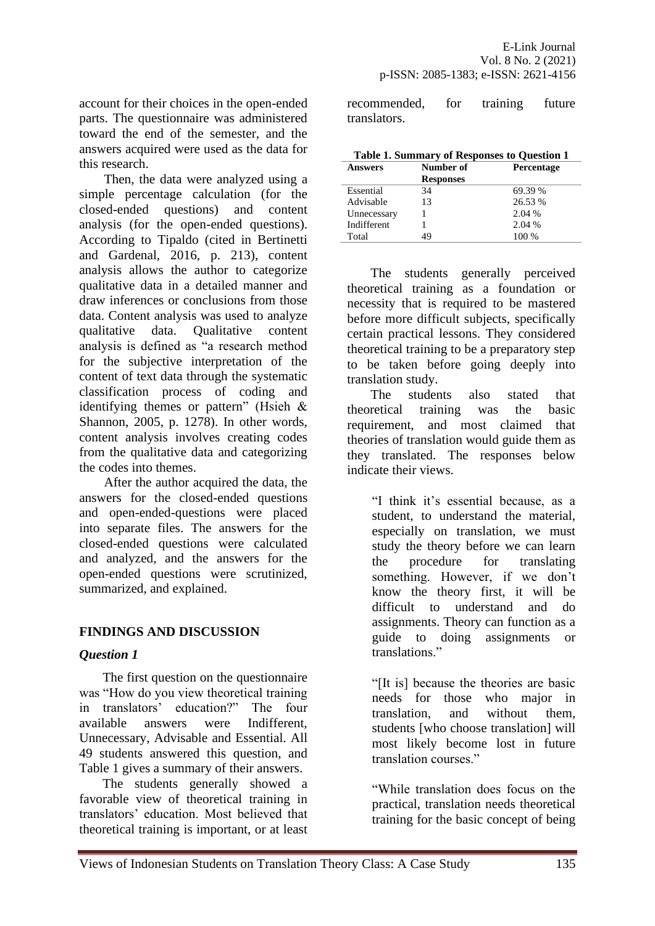account for their choices in the open-ended parts. The questionnaire was administered toward the end of the semester, and the answers acquired were used as the data for this research.

Then, the data were analyzed using a simple percentage calculation (for the closed-ended questions) and content analysis (for the open-ended questions). According to Tipaldo (cited in Bertinetti and Gardenal, 2016, p. 213), content analysis allows the author to categorize qualitative data in a detailed manner and draw inferences or conclusions from those data. Content analysis was used to analyze qualitative data. Qualitative content analysis is defined as "a research method for the subjective interpretation of the content of text data through the systematic classification process of coding and identifying themes or pattern" (Hsieh & Shannon, 2005, p. 1278). In other words, content analysis involves creating codes from the qualitative data and categorizing the codes into themes.

After the author acquired the data, the answers for the closed-ended questions and open-ended-questions were placed into separate files. The answers for the closed-ended questions were calculated and analyzed, and the answers for the open-ended questions were scrutinized, summarized, and explained.

# **FINDINGS AND DISCUSSION**

# *Question 1*

The first question on the questionnaire was "How do you view theoretical training in translators' education?" The four available answers were Indifferent, Unnecessary, Advisable and Essential. All 49 students answered this question, and Table 1 gives a summary of their answers.

The students generally showed a favorable view of theoretical training in translators' education. Most believed that theoretical training is important, or at least recommended, for training future translators.

| <b>Table 1. Summary of Responses to Question 1</b> |                  |            |  |  |
|----------------------------------------------------|------------------|------------|--|--|
| <b>Answers</b>                                     | Number of        | Percentage |  |  |
|                                                    | <b>Responses</b> |            |  |  |
| Essential                                          | 34               | 69.39 %    |  |  |
| Advisable                                          | 13               | 26.53 %    |  |  |
| Unnecessary                                        |                  | 2.04 %     |  |  |
| Indifferent                                        |                  | 2.04 %     |  |  |
| Total                                              | 10               | 100 %      |  |  |

The students generally perceived theoretical training as a foundation or necessity that is required to be mastered before more difficult subjects, specifically certain practical lessons. They considered theoretical training to be a preparatory step to be taken before going deeply into translation study.

The students also stated that theoretical training was the basic requirement, and most claimed that theories of translation would guide them as they translated. The responses below indicate their views.

> "I think it's essential because, as a student, to understand the material, especially on translation, we must study the theory before we can learn the procedure for translating something. However, if we don't know the theory first, it will be difficult to understand and do assignments. Theory can function as a guide to doing assignments or translations."

> "[It is] because the theories are basic needs for those who major in translation, and without them, students [who choose translation] will most likely become lost in future translation courses."

> "While translation does focus on the practical, translation needs theoretical training for the basic concept of being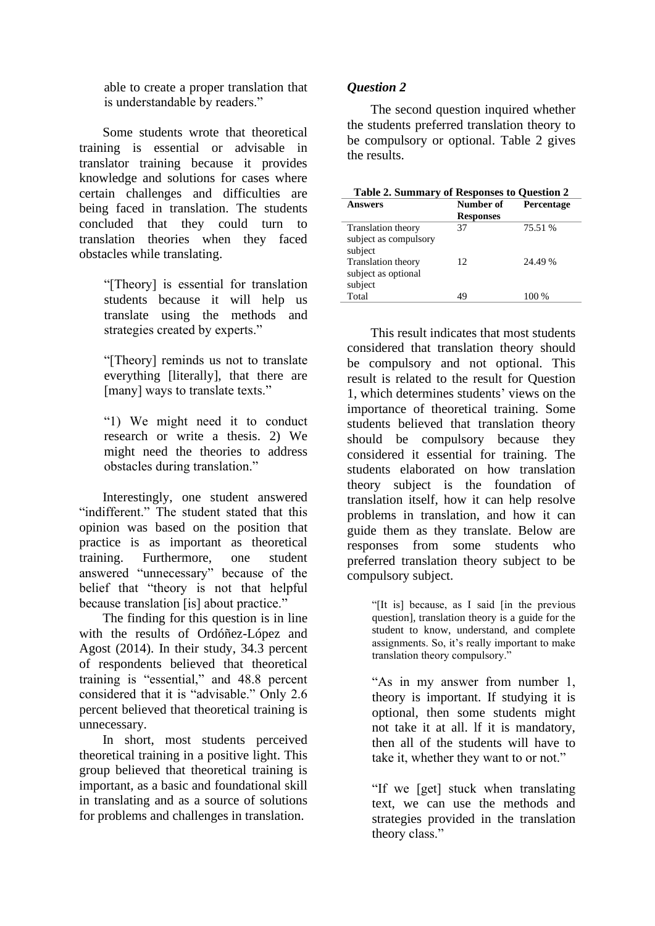able to create a proper translation that is understandable by readers."

Some students wrote that theoretical training is essential or advisable in translator training because it provides knowledge and solutions for cases where certain challenges and difficulties are being faced in translation. The students concluded that they could turn to translation theories when they faced obstacles while translating.

> "[Theory] is essential for translation students because it will help us translate using the methods and strategies created by experts."

> "[Theory] reminds us not to translate everything [literally], that there are [many] ways to translate texts."

"1) We might need it to conduct research or write a thesis. 2) We might need the theories to address obstacles during translation."

Interestingly, one student answered "indifferent." The student stated that this opinion was based on the position that practice is as important as theoretical training. Furthermore, one student answered "unnecessary" because of the belief that "theory is not that helpful because translation [is] about practice."

The finding for this question is in line with the results of Ordóñez-López and Agost (2014). In their study, 34.3 percent of respondents believed that theoretical training is "essential," and 48.8 percent considered that it is "advisable." Only 2.6 percent believed that theoretical training is unnecessary.

In short, most students perceived theoretical training in a positive light. This group believed that theoretical training is important, as a basic and foundational skill in translating and as a source of solutions for problems and challenges in translation.

### *Question 2*

The second question inquired whether the students preferred translation theory to be compulsory or optional. Table 2 gives the results.

| Table 2. Summary of Responses to Question 2                   |                  |            |
|---------------------------------------------------------------|------------------|------------|
| Answers                                                       | Number of        | Percentage |
|                                                               | <b>Responses</b> |            |
| <b>Translation theory</b><br>subject as compulsory<br>subject | 37               | 75.51 %    |
| Translation theory<br>subject as optional<br>subject          | 12.              | 24.49 %    |
| Total                                                         | 49               | 100 %      |

This result indicates that most students considered that translation theory should be compulsory and not optional. This result is related to the result for Question 1, which determines students' views on the importance of theoretical training. Some students believed that translation theory should be compulsory because they considered it essential for training. The students elaborated on how translation theory subject is the foundation of translation itself, how it can help resolve problems in translation, and how it can guide them as they translate. Below are responses from some students who preferred translation theory subject to be compulsory subject.

> "[It is] because, as I said [in the previous question], translation theory is a guide for the student to know, understand, and complete assignments. So, it's really important to make translation theory compulsory."

> "As in my answer from number 1, theory is important. If studying it is optional, then some students might not take it at all. lf it is mandatory, then all of the students will have to take it, whether they want to or not."

> "If we [get] stuck when translating text, we can use the methods and strategies provided in the translation theory class."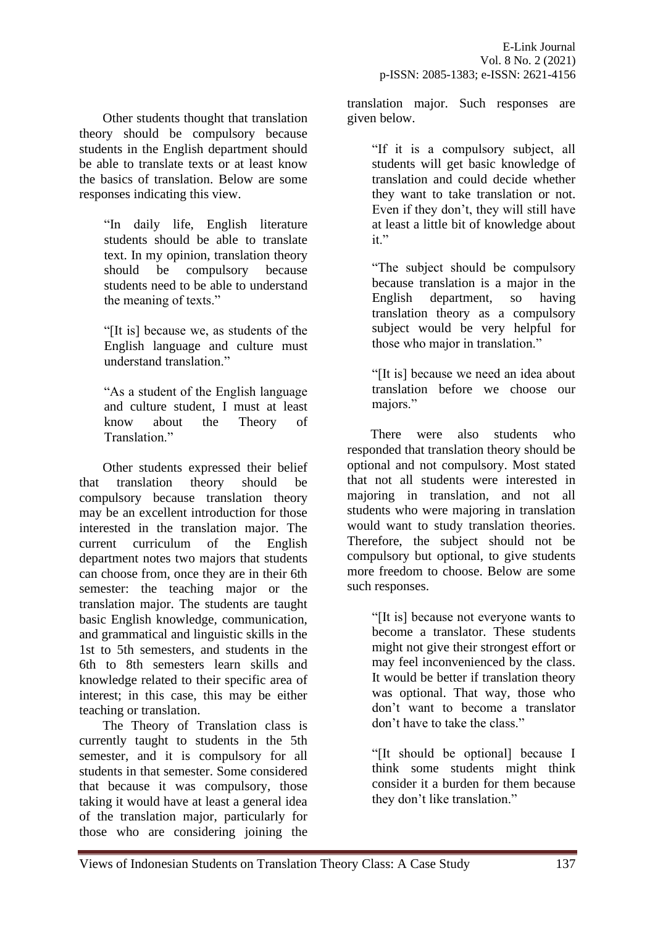Other students thought that translation theory should be compulsory because students in the English department should be able to translate texts or at least know the basics of translation. Below are some responses indicating this view.

> "In daily life, English literature students should be able to translate text. In my opinion, translation theory should be compulsory because students need to be able to understand the meaning of texts."

> "[It is] because we, as students of the English language and culture must understand translation."

> "As a student of the English language and culture student, I must at least know about the Theory of Translation."

Other students expressed their belief that translation theory should be compulsory because translation theory may be an excellent introduction for those interested in the translation major. The current curriculum of the English department notes two majors that students can choose from, once they are in their 6th semester: the teaching major or the translation major. The students are taught basic English knowledge, communication, and grammatical and linguistic skills in the 1st to 5th semesters, and students in the 6th to 8th semesters learn skills and knowledge related to their specific area of interest; in this case, this may be either teaching or translation.

The Theory of Translation class is currently taught to students in the 5th semester, and it is compulsory for all students in that semester. Some considered that because it was compulsory, those taking it would have at least a general idea of the translation major, particularly for those who are considering joining the

translation major. Such responses are given below.

> "If it is a compulsory subject, all students will get basic knowledge of translation and could decide whether they want to take translation or not. Even if they don't, they will still have at least a little bit of knowledge about  $it$ "

> "The subject should be compulsory because translation is a major in the English department, so having translation theory as a compulsory subject would be very helpful for those who major in translation."

> "[It is] because we need an idea about translation before we choose our majors."

There were also students who responded that translation theory should be optional and not compulsory. Most stated that not all students were interested in majoring in translation, and not all students who were majoring in translation would want to study translation theories. Therefore, the subject should not be compulsory but optional, to give students more freedom to choose. Below are some such responses.

> "[It is] because not everyone wants to become a translator. These students might not give their strongest effort or may feel inconvenienced by the class. It would be better if translation theory was optional. That way, those who don't want to become a translator don't have to take the class."

> "[It should be optional] because I think some students might think consider it a burden for them because they don't like translation."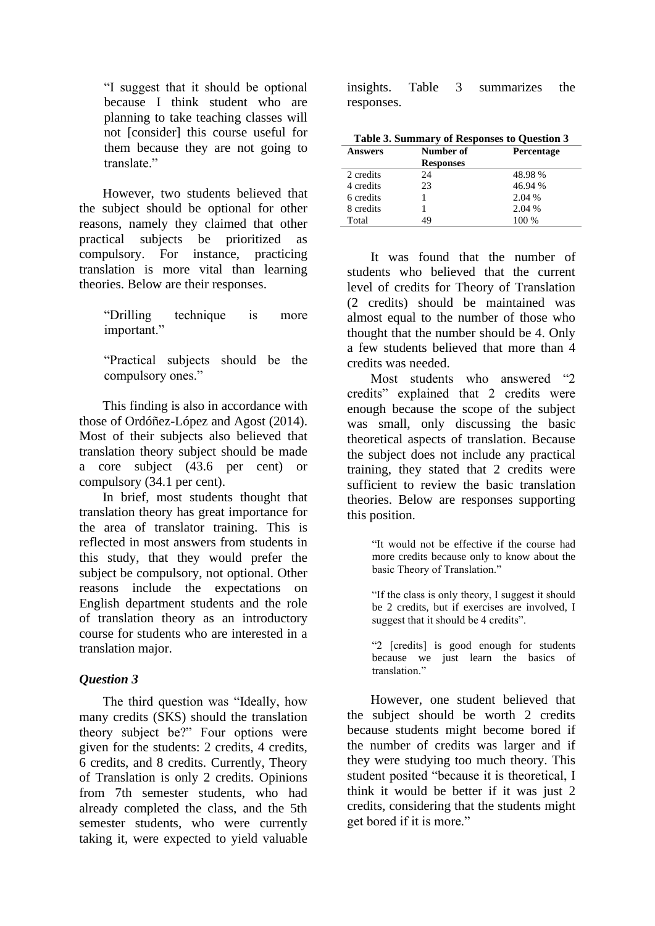"I suggest that it should be optional because I think student who are planning to take teaching classes will not [consider] this course useful for them because they are not going to translate."

However, two students believed that the subject should be optional for other reasons, namely they claimed that other practical subjects be prioritized as compulsory. For instance, practicing translation is more vital than learning theories. Below are their responses.

> "Drilling technique is more important."

> "Practical subjects should be the compulsory ones."

This finding is also in accordance with those of Ordóñez-López and Agost (2014). Most of their subjects also believed that translation theory subject should be made a core subject (43.6 per cent) or compulsory (34.1 per cent).

In brief, most students thought that translation theory has great importance for the area of translator training. This is reflected in most answers from students in this study, that they would prefer the subject be compulsory, not optional. Other reasons include the expectations on English department students and the role of translation theory as an introductory course for students who are interested in a translation major.

#### *Question 3*

The third question was "Ideally, how many credits (SKS) should the translation theory subject be?" Four options were given for the students: 2 credits, 4 credits, 6 credits, and 8 credits. Currently, Theory of Translation is only 2 credits. Opinions from 7th semester students, who had already completed the class, and the 5th semester students, who were currently taking it, were expected to yield valuable

insights. Table 3 summarizes the responses.

| Table 3. Summary of Responses to Question 3 |                  |            |  |
|---------------------------------------------|------------------|------------|--|
| <b>Answers</b>                              | Number of        | Percentage |  |
|                                             | <b>Responses</b> |            |  |
| 2 credits                                   | 24               | 48.98%     |  |
| 4 credits                                   | 23               | 46.94 %    |  |
| 6 credits                                   |                  | 2.04 %     |  |
| 8 credits                                   |                  | 2.04 %     |  |
| Total                                       | 49               | 100 %      |  |

It was found that the number of students who believed that the current level of credits for Theory of Translation (2 credits) should be maintained was almost equal to the number of those who thought that the number should be 4. Only a few students believed that more than 4 credits was needed.

Most students who answered "2 credits" explained that 2 credits were enough because the scope of the subject was small, only discussing the basic theoretical aspects of translation. Because the subject does not include any practical training, they stated that 2 credits were sufficient to review the basic translation theories. Below are responses supporting this position.

> "It would not be effective if the course had more credits because only to know about the basic Theory of Translation."

> "If the class is only theory, I suggest it should be 2 credits, but if exercises are involved, I suggest that it should be 4 credits".

> "2 [credits] is good enough for students because we just learn the basics of translation."

However, one student believed that the subject should be worth 2 credits because students might become bored if the number of credits was larger and if they were studying too much theory. This student posited "because it is theoretical, I think it would be better if it was just 2 credits, considering that the students might get bored if it is more."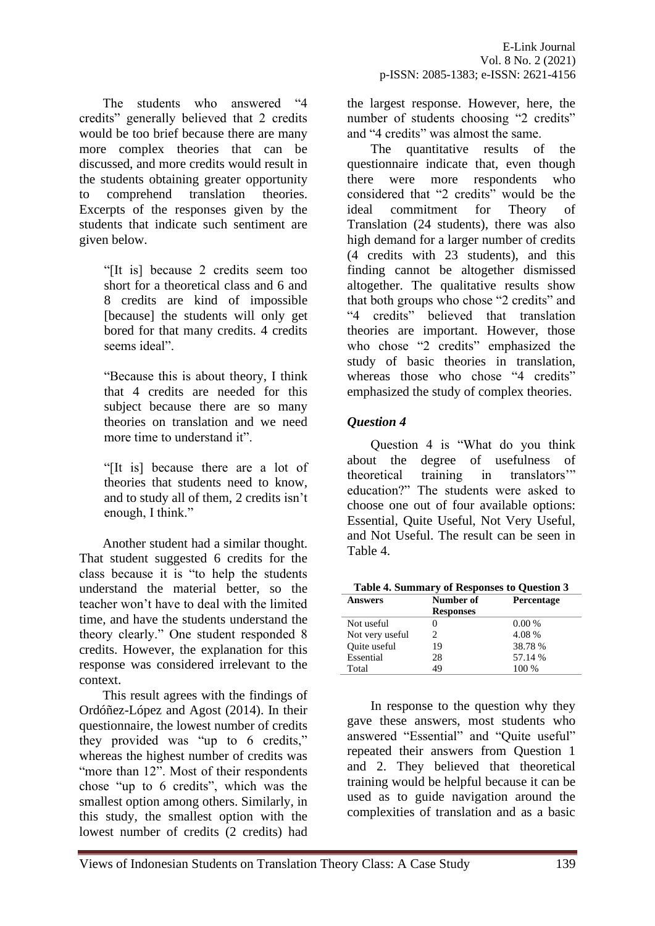The students who answered "4 credits" generally believed that 2 credits would be too brief because there are many more complex theories that can be discussed, and more credits would result in the students obtaining greater opportunity to comprehend translation theories. Excerpts of the responses given by the students that indicate such sentiment are given below.

> "[It is] because 2 credits seem too short for a theoretical class and 6 and 8 credits are kind of impossible [because] the students will only get bored for that many credits. 4 credits seems ideal".

> "Because this is about theory, I think that 4 credits are needed for this subject because there are so many theories on translation and we need more time to understand it".

> "[It is] because there are a lot of theories that students need to know, and to study all of them, 2 credits isn't enough, I think."

Another student had a similar thought. That student suggested 6 credits for the class because it is "to help the students understand the material better, so the teacher won't have to deal with the limited time, and have the students understand the theory clearly." One student responded 8 credits. However, the explanation for this response was considered irrelevant to the context.

This result agrees with the findings of Ordóñez-López and Agost (2014). In their questionnaire, the lowest number of credits they provided was "up to 6 credits," whereas the highest number of credits was "more than 12". Most of their respondents chose "up to 6 credits", which was the smallest option among others. Similarly, in this study, the smallest option with the lowest number of credits (2 credits) had the largest response. However, here, the number of students choosing "2 credits" and "4 credits" was almost the same.

The quantitative results of the questionnaire indicate that, even though there were more respondents who considered that "2 credits" would be the ideal commitment for Theory of Translation (24 students), there was also high demand for a larger number of credits (4 credits with 23 students), and this finding cannot be altogether dismissed altogether. The qualitative results show that both groups who chose "2 credits" and "4 credits" believed that translation theories are important. However, those who chose "2 credits" emphasized the study of basic theories in translation, whereas those who chose "4 credits" emphasized the study of complex theories.

# *Question 4*

Question 4 is "What do you think about the degree of usefulness of theoretical training in translators'" education?" The students were asked to choose one out of four available options: Essential, Quite Useful, Not Very Useful, and Not Useful. The result can be seen in Table 4.

| <b>Answers</b>      | Number of        | <b>Percentage</b> |  |
|---------------------|------------------|-------------------|--|
|                     | <b>Responses</b> |                   |  |
| Not useful          |                  | 0.00%             |  |
| Not very useful     |                  | 4.08 %            |  |
| <b>Ouite</b> useful | 19               | 38.78%            |  |
| Essential           | 28               | 57.14 %           |  |
| Total               | 49               | 100 %             |  |

In response to the question why they gave these answers, most students who answered "Essential" and "Quite useful" repeated their answers from Question 1 and 2. They believed that theoretical training would be helpful because it can be used as to guide navigation around the complexities of translation and as a basic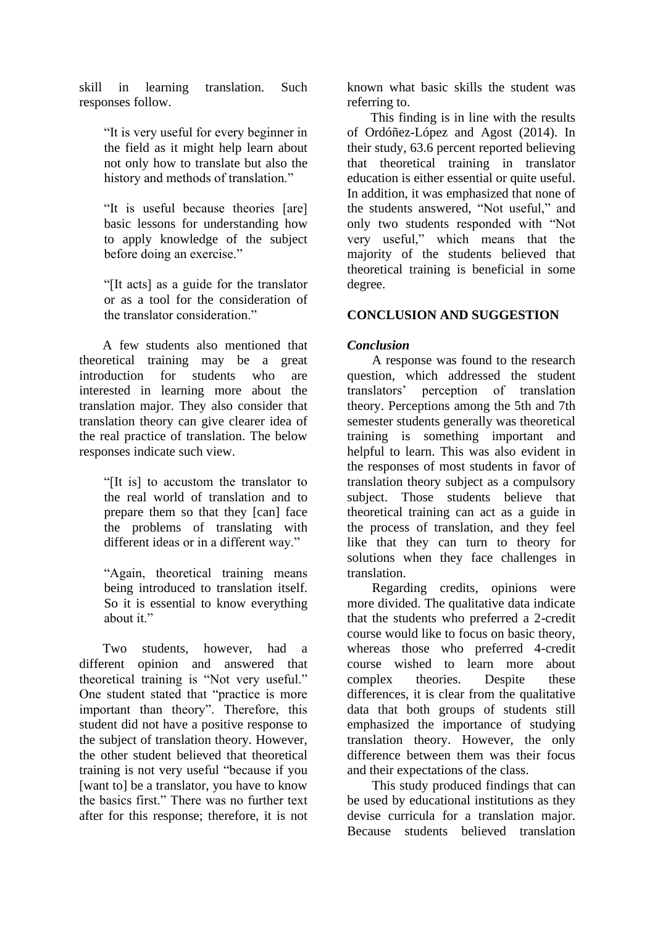skill in learning translation. Such responses follow.

> "It is very useful for every beginner in the field as it might help learn about not only how to translate but also the history and methods of translation."

> "It is useful because theories [are] basic lessons for understanding how to apply knowledge of the subject before doing an exercise."

> "[It acts] as a guide for the translator or as a tool for the consideration of the translator consideration."

A few students also mentioned that theoretical training may be a great introduction for students who are interested in learning more about the translation major. They also consider that translation theory can give clearer idea of the real practice of translation. The below responses indicate such view.

> "[It is] to accustom the translator to the real world of translation and to prepare them so that they [can] face the problems of translating with different ideas or in a different way."

> "Again, theoretical training means being introduced to translation itself. So it is essential to know everything about it."

Two students, however, had a different opinion and answered that theoretical training is "Not very useful." One student stated that "practice is more important than theory". Therefore, this student did not have a positive response to the subject of translation theory. However, the other student believed that theoretical training is not very useful "because if you [want to] be a translator, you have to know the basics first." There was no further text after for this response; therefore, it is not

known what basic skills the student was referring to.

This finding is in line with the results of Ordóñez-López and Agost (2014). In their study, 63.6 percent reported believing that theoretical training in translator education is either essential or quite useful. In addition, it was emphasized that none of the students answered, "Not useful," and only two students responded with "Not very useful," which means that the majority of the students believed that theoretical training is beneficial in some degree.

### **CONCLUSION AND SUGGESTION**

### *Conclusion*

A response was found to the research question, which addressed the student translators' perception of translation theory. Perceptions among the 5th and 7th semester students generally was theoretical training is something important and helpful to learn. This was also evident in the responses of most students in favor of translation theory subject as a compulsory subject. Those students believe that theoretical training can act as a guide in the process of translation, and they feel like that they can turn to theory for solutions when they face challenges in translation.

Regarding credits, opinions were more divided. The qualitative data indicate that the students who preferred a 2-credit course would like to focus on basic theory, whereas those who preferred 4-credit course wished to learn more about complex theories. Despite these differences, it is clear from the qualitative data that both groups of students still emphasized the importance of studying translation theory. However, the only difference between them was their focus and their expectations of the class.

This study produced findings that can be used by educational institutions as they devise curricula for a translation major. Because students believed translation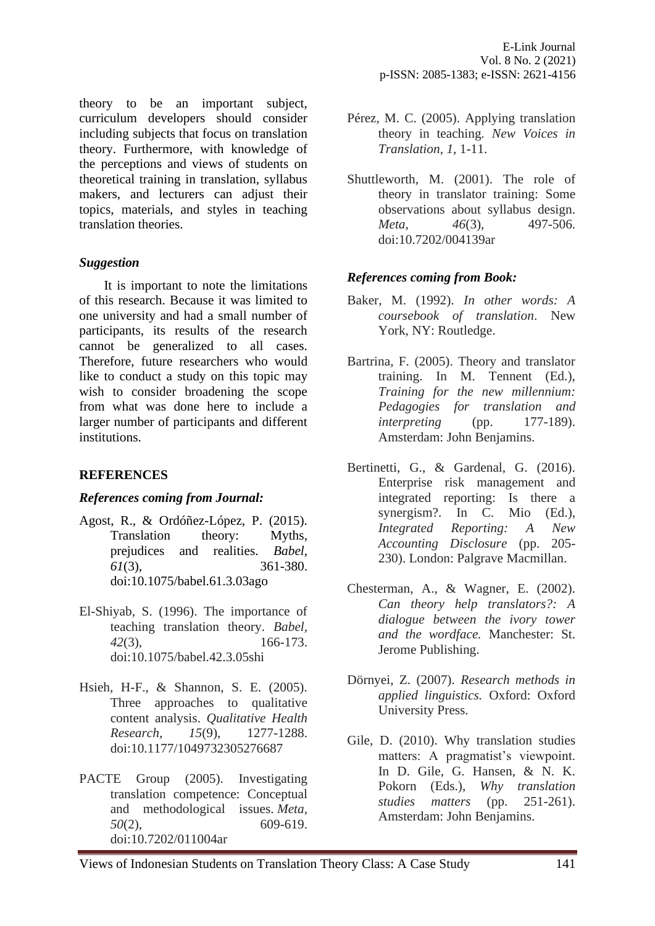theory to be an important subject, curriculum developers should consider including subjects that focus on translation theory. Furthermore, with knowledge of the perceptions and views of students on theoretical training in translation, syllabus makers, and lecturers can adjust their topics, materials, and styles in teaching translation theories.

# *Suggestion*

It is important to note the limitations of this research. Because it was limited to one university and had a small number of participants, its results of the research cannot be generalized to all cases. Therefore, future researchers who would like to conduct a study on this topic may wish to consider broadening the scope from what was done here to include a larger number of participants and different institutions.

# **REFERENCES**

#### *References coming from Journal:*

- Agost, R., & Ordóñez-López, P. (2015). Translation theory: Myths, prejudices and realities. *Babel, 61*(3), 361-380. doi:10.1075/babel.61.3.03ago
- El-Shiyab, S. (1996). The importance of teaching translation theory. *Babel, 42*(3), 166-173. doi:10.1075/babel.42.3.05shi
- Hsieh, H-F., & Shannon, S. E. (2005). Three approaches to qualitative content analysis. *Qualitative Health Research, 15*(9), 1277-1288. doi:10.1177/1049732305276687
- PACTE Group (2005). Investigating translation competence: Conceptual and methodological issues. *Meta, 50*(2), 609-619. doi:10.7202/011004ar
- Pérez, M. C. (2005). Applying translation theory in teaching*. New Voices in Translation, 1,* 1-11.
- Shuttleworth, M. (2001). The role of theory in translator training: Some observations about syllabus design. *Meta*, 46(3), 497-506. doi:10.7202/004139ar

### *References coming from Book:*

- Baker, M. (1992). *In other words: A coursebook of translation*. New York, NY: Routledge.
- Bartrina, F. (2005). Theory and translator training. In M. Tennent (Ed.), *Training for the new millennium: Pedagogies for translation and interpreting* (pp. 177-189). Amsterdam: John Benjamins.
- Bertinetti, G., & Gardenal, G. (2016). Enterprise risk management and integrated reporting: Is there a synergism?. In C. Mio (Ed.), *Integrated Reporting: A New Accounting Disclosure* (pp. 205- 230). London: Palgrave Macmillan.
- Chesterman, A., & Wagner, E. (2002). *Can theory help translators?: A dialogue between the ivory tower and the wordface.* Manchester: St. Jerome Publishing.
- Dörnyei, Z. (2007). *Research methods in applied linguistics.* Oxford: Oxford University Press.
- Gile, D. (2010). Why translation studies matters: A pragmatist's viewpoint. In D. Gile, G. Hansen, & N. K. Pokorn (Eds.), *Why translation studies matters* (pp. 251-261). Amsterdam: John Benjamins.